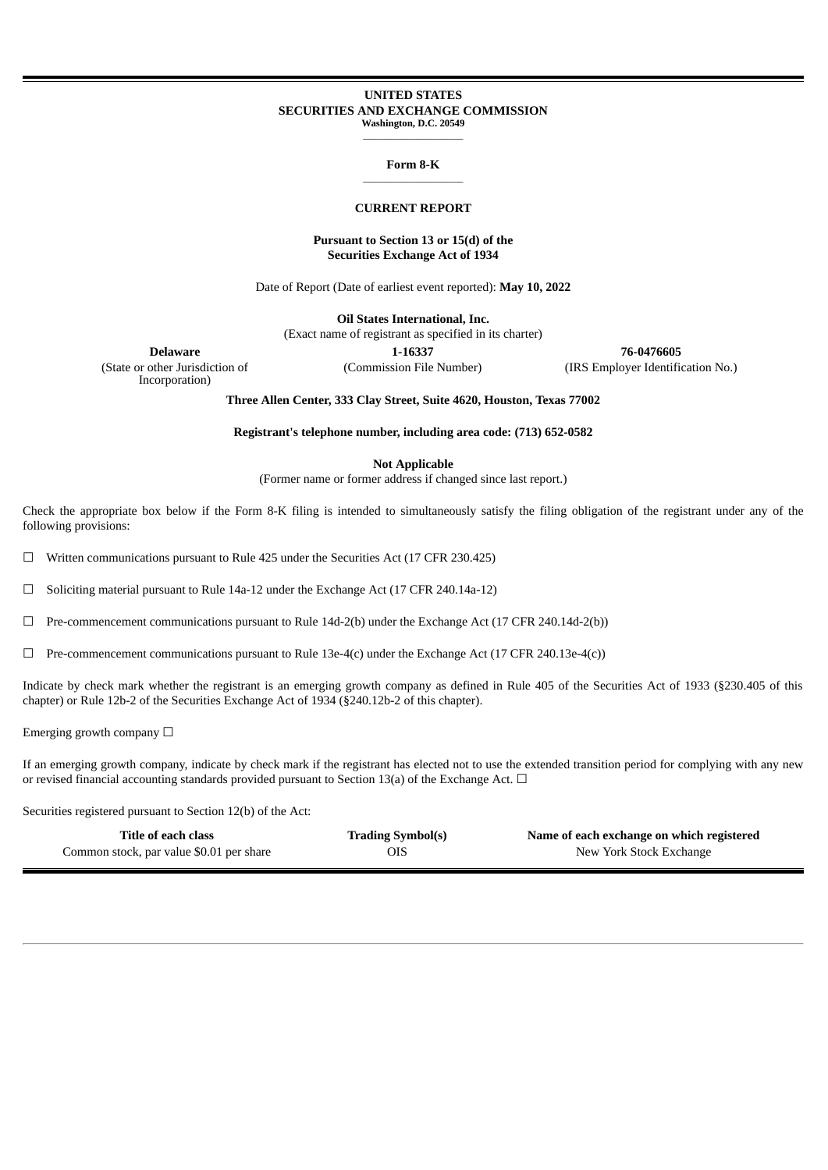#### **UNITED STATES SECURITIES AND EXCHANGE COMMISSION Washington, D.C. 20549**

 $\frac{1}{2}$  ,  $\frac{1}{2}$  ,  $\frac{1}{2}$  ,  $\frac{1}{2}$  ,  $\frac{1}{2}$  ,  $\frac{1}{2}$  ,  $\frac{1}{2}$  ,  $\frac{1}{2}$  ,  $\frac{1}{2}$  ,  $\frac{1}{2}$  ,  $\frac{1}{2}$  ,  $\frac{1}{2}$  ,  $\frac{1}{2}$  ,  $\frac{1}{2}$  ,  $\frac{1}{2}$  ,  $\frac{1}{2}$  ,  $\frac{1}{2}$  ,  $\frac{1}{2}$  ,  $\frac{1$ 

#### **Form 8-K** \_\_\_\_\_\_\_\_\_\_\_\_\_\_\_\_\_\_\_\_

#### **CURRENT REPORT**

## **Pursuant to Section 13 or 15(d) of the Securities Exchange Act of 1934**

Date of Report (Date of earliest event reported): **May 10, 2022**

**Oil States International, Inc.**

(Exact name of registrant as specified in its charter)

(State or other Jurisdiction of Incorporation)

**Delaware 1-16337 76-0476605** (Commission File Number) (IRS Employer Identification No.)

**Three Allen Center, 333 Clay Street, Suite 4620, Houston, Texas 77002**

**Registrant's telephone number, including area code: (713) 652-0582**

**Not Applicable**

(Former name or former address if changed since last report.)

Check the appropriate box below if the Form 8-K filing is intended to simultaneously satisfy the filing obligation of the registrant under any of the following provisions:

 $\Box$  Written communications pursuant to Rule 425 under the Securities Act (17 CFR 230.425)

☐ Soliciting material pursuant to Rule 14a-12 under the Exchange Act (17 CFR 240.14a-12)

☐ Pre-commencement communications pursuant to Rule 14d-2(b) under the Exchange Act (17 CFR 240.14d-2(b))

 $\Box$  Pre-commencement communications pursuant to Rule 13e-4(c) under the Exchange Act (17 CFR 240.13e-4(c))

Indicate by check mark whether the registrant is an emerging growth company as defined in Rule 405 of the Securities Act of 1933 (§230.405 of this chapter) or Rule 12b-2 of the Securities Exchange Act of 1934 (§240.12b-2 of this chapter).

Emerging growth company  $\Box$ 

If an emerging growth company, indicate by check mark if the registrant has elected not to use the extended transition period for complying with any new or revised financial accounting standards provided pursuant to Section 13(a) of the Exchange Act.  $\Box$ 

Securities registered pursuant to Section 12(b) of the Act:

| Title of each class                      | <b>Trading Symbol(s)</b> | Name of each exchange on which registered |
|------------------------------------------|--------------------------|-------------------------------------------|
| Common stock, par value \$0.01 per share | OIS.                     | New York Stock Exchange                   |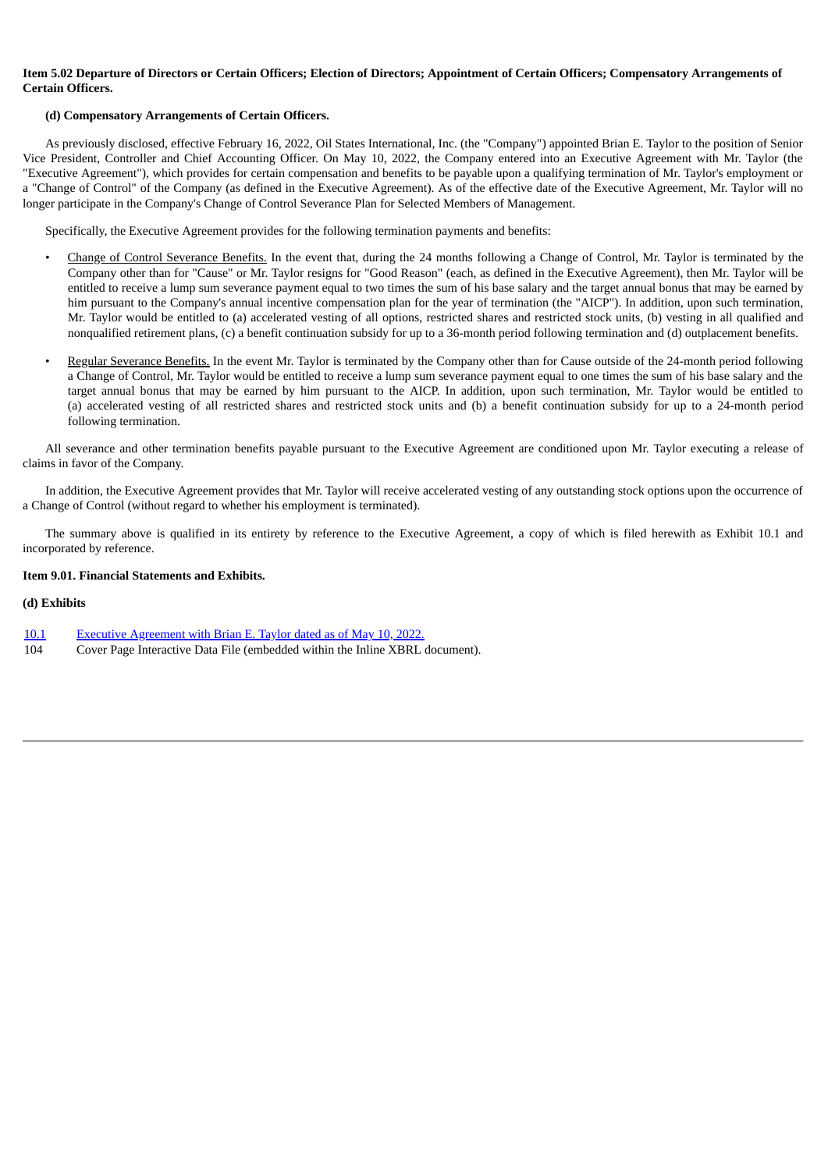## Item 5.02 Departure of Directors or Certain Officers; Election of Directors; Appointment of Certain Officers; Compensatory Arrangements of **Certain Officers.**

## **(d) Compensatory Arrangements of Certain Officers.**

As previously disclosed, effective February 16, 2022, Oil States International, Inc. (the "Company") appointed Brian E. Taylor to the position of Senior Vice President, Controller and Chief Accounting Officer. On May 10, 2022, the Company entered into an Executive Agreement with Mr. Taylor (the "Executive Agreement"), which provides for certain compensation and benefits to be payable upon a qualifying termination of Mr. Taylor's employment or a "Change of Control" of the Company (as defined in the Executive Agreement). As of the effective date of the Executive Agreement, Mr. Taylor will no longer participate in the Company's Change of Control Severance Plan for Selected Members of Management.

Specifically, the Executive Agreement provides for the following termination payments and benefits:

- Change of Control Severance Benefits. In the event that, during the 24 months following a Change of Control, Mr. Taylor is terminated by the Company other than for "Cause" or Mr. Taylor resigns for "Good Reason" (each, as defined in the Executive Agreement), then Mr. Taylor will be entitled to receive a lump sum severance payment equal to two times the sum of his base salary and the target annual bonus that may be earned by him pursuant to the Company's annual incentive compensation plan for the year of termination (the "AICP"). In addition, upon such termination, Mr. Taylor would be entitled to (a) accelerated vesting of all options, restricted shares and restricted stock units, (b) vesting in all qualified and nonqualified retirement plans, (c) a benefit continuation subsidy for up to a 36-month period following termination and (d) outplacement benefits.
- Regular Severance Benefits. In the event Mr. Taylor is terminated by the Company other than for Cause outside of the 24-month period following a Change of Control, Mr. Taylor would be entitled to receive a lump sum severance payment equal to one times the sum of his base salary and the target annual bonus that may be earned by him pursuant to the AICP. In addition, upon such termination, Mr. Taylor would be entitled to (a) accelerated vesting of all restricted shares and restricted stock units and (b) a benefit continuation subsidy for up to a 24-month period following termination.

All severance and other termination benefits payable pursuant to the Executive Agreement are conditioned upon Mr. Taylor executing a release of claims in favor of the Company.

In addition, the Executive Agreement provides that Mr. Taylor will receive accelerated vesting of any outstanding stock options upon the occurrence of a Change of Control (without regard to whether his employment is terminated).

The summary above is qualified in its entirety by reference to the Executive Agreement, a copy of which is filed herewith as Exhibit 10.1 and incorporated by reference.

## **Item 9.01. Financial Statements and Exhibits.**

## **(d) Exhibits**

- [10.1](#page-3-0) Executive [Agreement](#page-3-0) with Brian E. Taylor dated as of May [1](#page-3-0)0, [2022.](#page-3-0)
- 104 Cover Page Interactive Data File (embedded within the Inline XBRL document).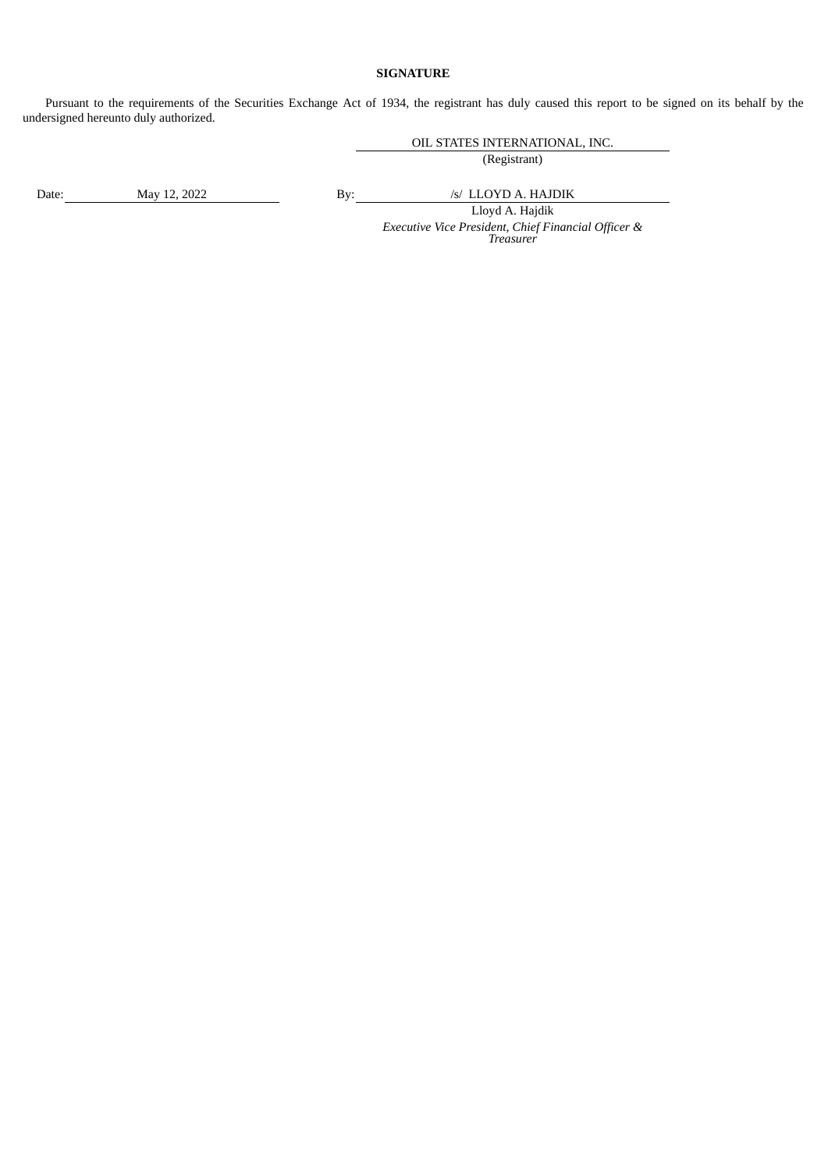# **SIGNATURE**

Pursuant to the requirements of the Securities Exchange Act of 1934, the registrant has duly caused this report to be signed on its behalf by the undersigned hereunto duly authorized.

OIL STATES INTERNATIONAL, INC.

(Registrant)

Date: May 12, 2022 By: */s/ LLOYD A. HAJDIK* 

Lloyd A. Hajdik *Executive Vice President, Chief Financial Officer & Treasurer*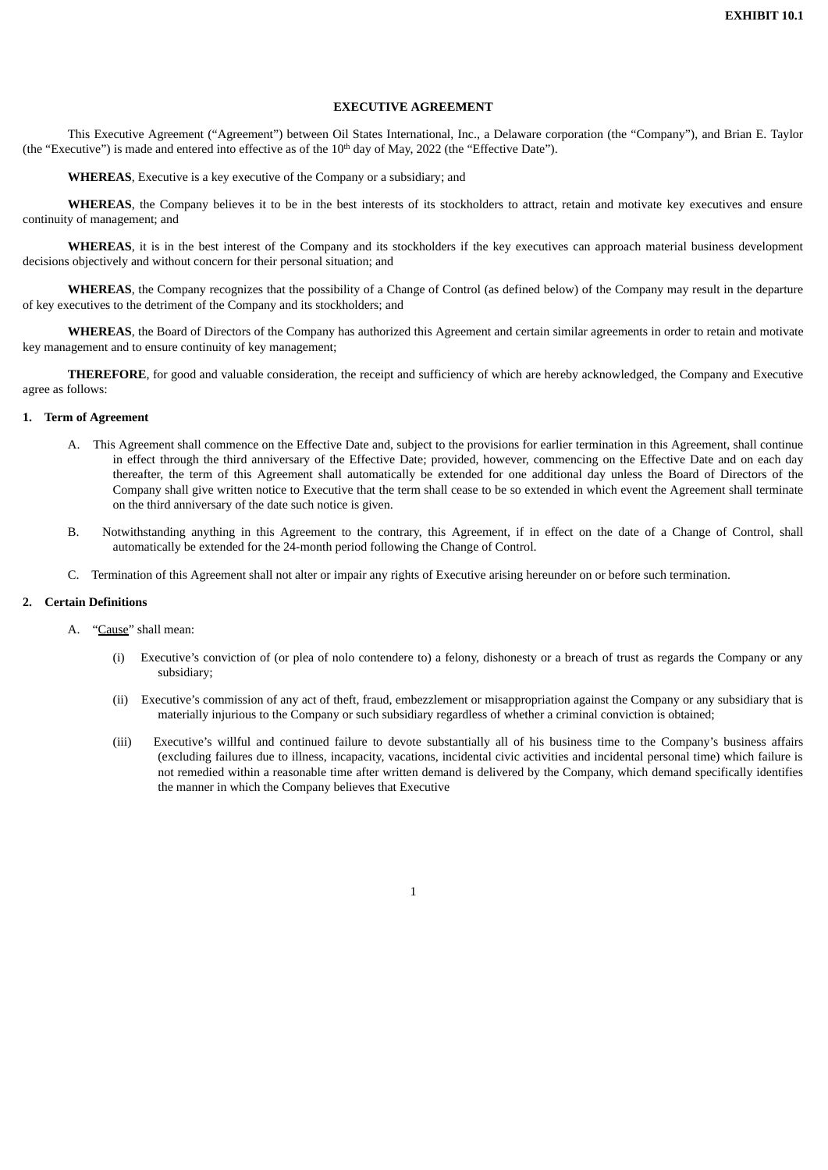#### **EXECUTIVE AGREEMENT**

<span id="page-3-0"></span>This Executive Agreement ("Agreement") between Oil States International, Inc., a Delaware corporation (the "Company"), and Brian E. Taylor (the "Executive") is made and entered into effective as of the  $10<sup>th</sup>$  day of May, 2022 (the "Effective Date").

**WHEREAS**, Executive is a key executive of the Company or a subsidiary; and

**WHEREAS**, the Company believes it to be in the best interests of its stockholders to attract, retain and motivate key executives and ensure continuity of management; and

**WHEREAS**, it is in the best interest of the Company and its stockholders if the key executives can approach material business development decisions objectively and without concern for their personal situation; and

**WHEREAS**, the Company recognizes that the possibility of a Change of Control (as defined below) of the Company may result in the departure of key executives to the detriment of the Company and its stockholders; and

**WHEREAS**, the Board of Directors of the Company has authorized this Agreement and certain similar agreements in order to retain and motivate key management and to ensure continuity of key management;

**THEREFORE**, for good and valuable consideration, the receipt and sufficiency of which are hereby acknowledged, the Company and Executive agree as follows:

## **1. Term of Agreement**

- A. This Agreement shall commence on the Effective Date and, subject to the provisions for earlier termination in this Agreement, shall continue in effect through the third anniversary of the Effective Date; provided, however, commencing on the Effective Date and on each day thereafter, the term of this Agreement shall automatically be extended for one additional day unless the Board of Directors of the Company shall give written notice to Executive that the term shall cease to be so extended in which event the Agreement shall terminate on the third anniversary of the date such notice is given.
- B. Notwithstanding anything in this Agreement to the contrary, this Agreement, if in effect on the date of a Change of Control, shall automatically be extended for the 24-month period following the Change of Control.
- C. Termination of this Agreement shall not alter or impair any rights of Executive arising hereunder on or before such termination.

#### **2. Certain Definitions**

- A. "Cause" shall mean:
	- (i) Executive's conviction of (or plea of nolo contendere to) a felony, dishonesty or a breach of trust as regards the Company or any subsidiary;
	- (ii) Executive's commission of any act of theft, fraud, embezzlement or misappropriation against the Company or any subsidiary that is materially injurious to the Company or such subsidiary regardless of whether a criminal conviction is obtained;
	- (iii) Executive's willful and continued failure to devote substantially all of his business time to the Company's business affairs (excluding failures due to illness, incapacity, vacations, incidental civic activities and incidental personal time) which failure is not remedied within a reasonable time after written demand is delivered by the Company, which demand specifically identifies the manner in which the Company believes that Executive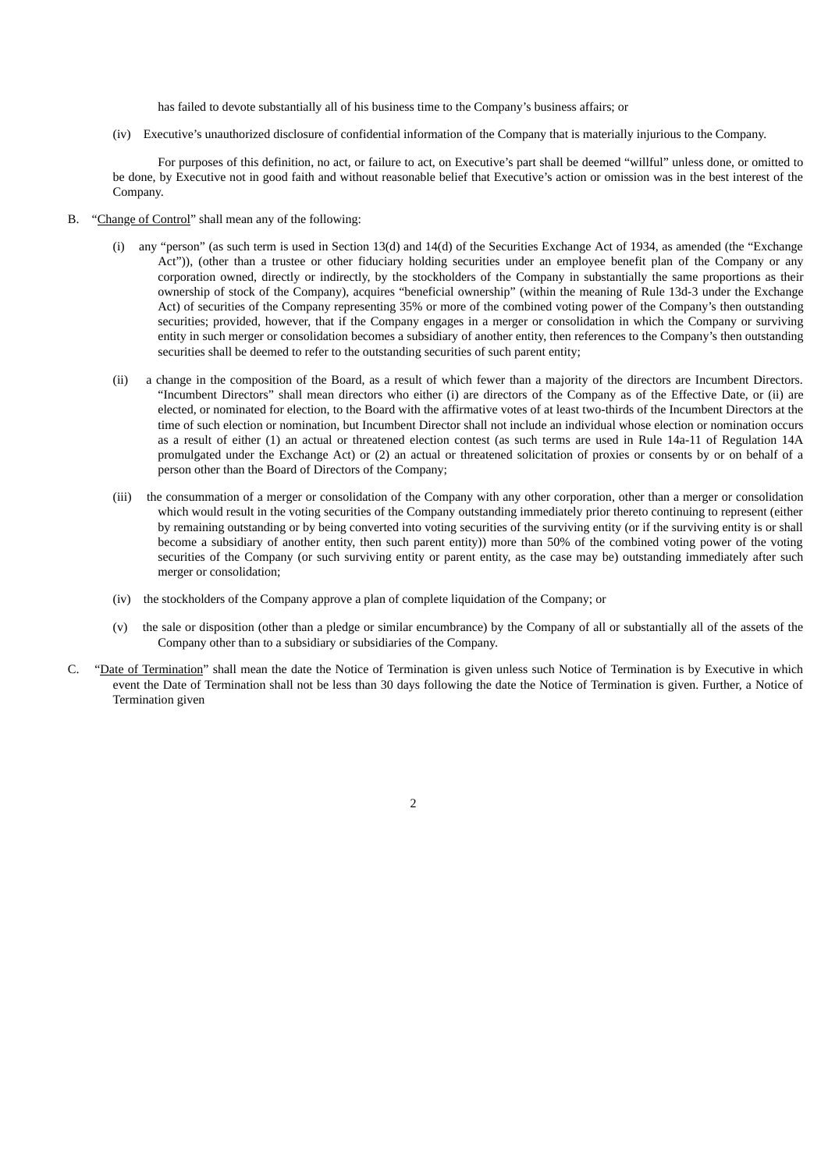has failed to devote substantially all of his business time to the Company's business affairs; or

(iv) Executive's unauthorized disclosure of confidential information of the Company that is materially injurious to the Company.

For purposes of this definition, no act, or failure to act, on Executive's part shall be deemed "willful" unless done, or omitted to be done, by Executive not in good faith and without reasonable belief that Executive's action or omission was in the best interest of the Company.

- B. "Change of Control" shall mean any of the following:
	- (i) any "person" (as such term is used in Section 13(d) and 14(d) of the Securities Exchange Act of 1934, as amended (the "Exchange Act")), (other than a trustee or other fiduciary holding securities under an employee benefit plan of the Company or any corporation owned, directly or indirectly, by the stockholders of the Company in substantially the same proportions as their ownership of stock of the Company), acquires "beneficial ownership" (within the meaning of Rule 13d-3 under the Exchange Act) of securities of the Company representing 35% or more of the combined voting power of the Company's then outstanding securities; provided, however, that if the Company engages in a merger or consolidation in which the Company or surviving entity in such merger or consolidation becomes a subsidiary of another entity, then references to the Company's then outstanding securities shall be deemed to refer to the outstanding securities of such parent entity;
	- (ii) a change in the composition of the Board, as a result of which fewer than a majority of the directors are Incumbent Directors. "Incumbent Directors" shall mean directors who either (i) are directors of the Company as of the Effective Date, or (ii) are elected, or nominated for election, to the Board with the affirmative votes of at least two-thirds of the Incumbent Directors at the time of such election or nomination, but Incumbent Director shall not include an individual whose election or nomination occurs as a result of either (1) an actual or threatened election contest (as such terms are used in Rule 14a-11 of Regulation 14A promulgated under the Exchange Act) or (2) an actual or threatened solicitation of proxies or consents by or on behalf of a person other than the Board of Directors of the Company;
	- (iii) the consummation of a merger or consolidation of the Company with any other corporation, other than a merger or consolidation which would result in the voting securities of the Company outstanding immediately prior thereto continuing to represent (either by remaining outstanding or by being converted into voting securities of the surviving entity (or if the surviving entity is or shall become a subsidiary of another entity, then such parent entity)) more than 50% of the combined voting power of the voting securities of the Company (or such surviving entity or parent entity, as the case may be) outstanding immediately after such merger or consolidation;
	- (iv) the stockholders of the Company approve a plan of complete liquidation of the Company; or
	- (v) the sale or disposition (other than a pledge or similar encumbrance) by the Company of all or substantially all of the assets of the Company other than to a subsidiary or subsidiaries of the Company.
- C. "Date of Termination" shall mean the date the Notice of Termination is given unless such Notice of Termination is by Executive in which event the Date of Termination shall not be less than 30 days following the date the Notice of Termination is given. Further, a Notice of Termination given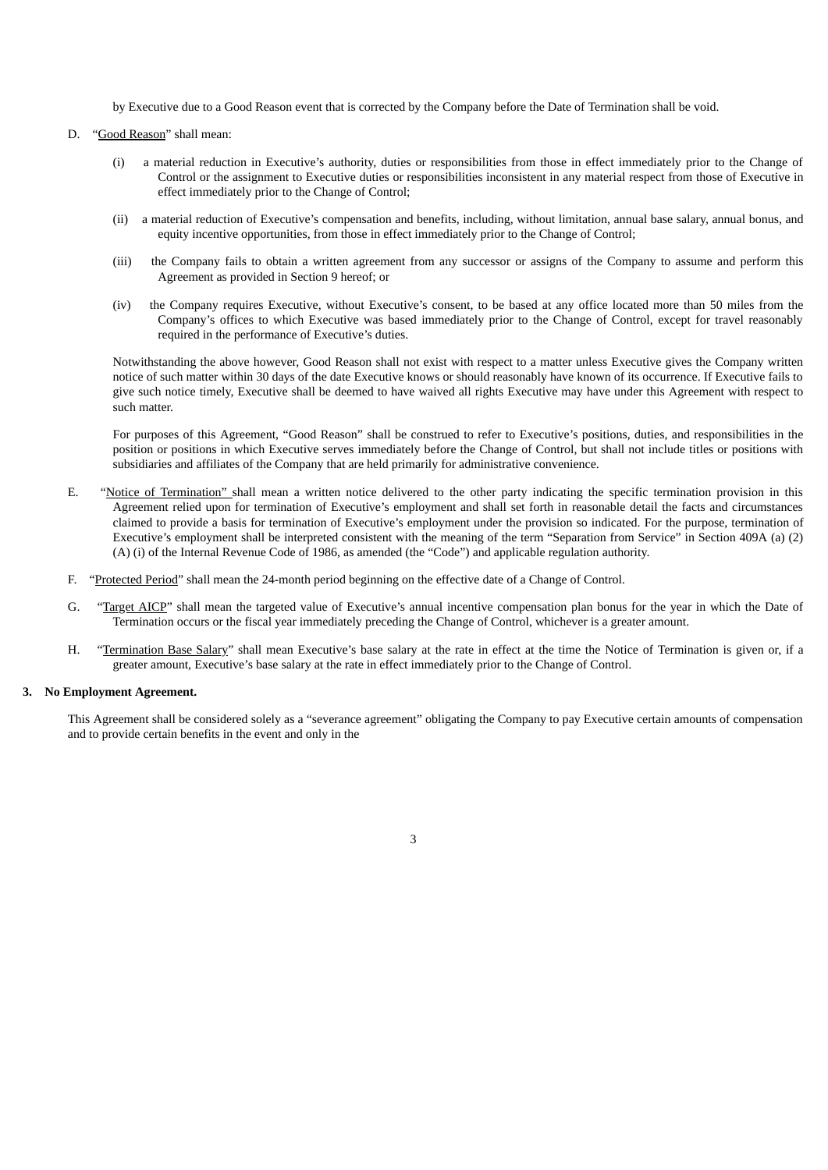by Executive due to a Good Reason event that is corrected by the Company before the Date of Termination shall be void.

- D. "Good Reason" shall mean:
	- (i) a material reduction in Executive's authority, duties or responsibilities from those in effect immediately prior to the Change of Control or the assignment to Executive duties or responsibilities inconsistent in any material respect from those of Executive in effect immediately prior to the Change of Control;
	- (ii) a material reduction of Executive's compensation and benefits, including, without limitation, annual base salary, annual bonus, and equity incentive opportunities, from those in effect immediately prior to the Change of Control;
	- (iii) the Company fails to obtain a written agreement from any successor or assigns of the Company to assume and perform this Agreement as provided in Section 9 hereof; or
	- (iv) the Company requires Executive, without Executive's consent, to be based at any office located more than 50 miles from the Company's offices to which Executive was based immediately prior to the Change of Control, except for travel reasonably required in the performance of Executive's duties.

Notwithstanding the above however, Good Reason shall not exist with respect to a matter unless Executive gives the Company written notice of such matter within 30 days of the date Executive knows or should reasonably have known of its occurrence. If Executive fails to give such notice timely, Executive shall be deemed to have waived all rights Executive may have under this Agreement with respect to such matter.

For purposes of this Agreement, "Good Reason" shall be construed to refer to Executive's positions, duties, and responsibilities in the position or positions in which Executive serves immediately before the Change of Control, but shall not include titles or positions with subsidiaries and affiliates of the Company that are held primarily for administrative convenience.

- E. "Notice of Termination" shall mean a written notice delivered to the other party indicating the specific termination provision in this Agreement relied upon for termination of Executive's employment and shall set forth in reasonable detail the facts and circumstances claimed to provide a basis for termination of Executive's employment under the provision so indicated. For the purpose, termination of Executive's employment shall be interpreted consistent with the meaning of the term "Separation from Service" in Section 409A (a) (2) (A) (i) of the Internal Revenue Code of 1986, as amended (the "Code") and applicable regulation authority.
- F. "Protected Period" shall mean the 24-month period beginning on the effective date of a Change of Control.
- G. "Target AICP" shall mean the targeted value of Executive's annual incentive compensation plan bonus for the year in which the Date of Termination occurs or the fiscal year immediately preceding the Change of Control, whichever is a greater amount.
- H. "Termination Base Salary" shall mean Executive's base salary at the rate in effect at the time the Notice of Termination is given or, if a greater amount, Executive's base salary at the rate in effect immediately prior to the Change of Control.

#### **3. No Employment Agreement.**

This Agreement shall be considered solely as a "severance agreement" obligating the Company to pay Executive certain amounts of compensation and to provide certain benefits in the event and only in the

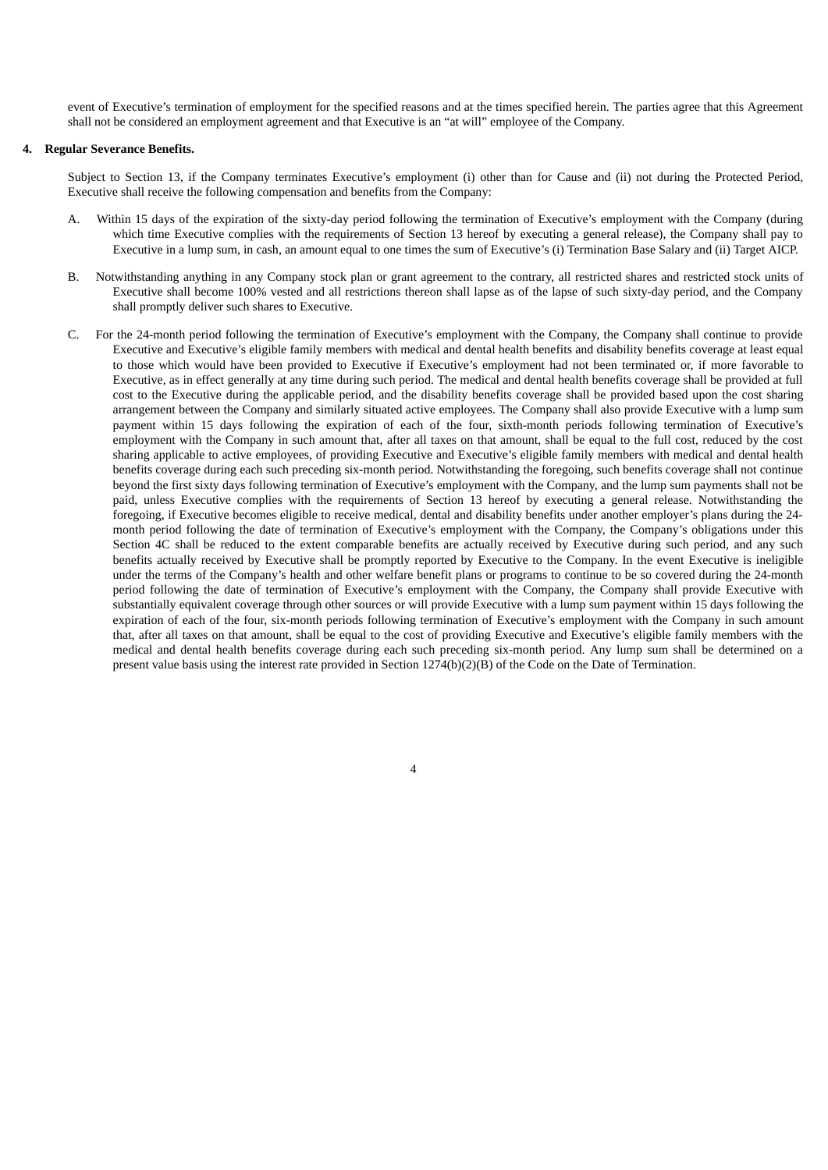event of Executive's termination of employment for the specified reasons and at the times specified herein. The parties agree that this Agreement shall not be considered an employment agreement and that Executive is an "at will" employee of the Company.

## **4. Regular Severance Benefits.**

Subject to Section 13, if the Company terminates Executive's employment (i) other than for Cause and (ii) not during the Protected Period, Executive shall receive the following compensation and benefits from the Company:

- A. Within 15 days of the expiration of the sixty-day period following the termination of Executive's employment with the Company (during which time Executive complies with the requirements of Section 13 hereof by executing a general release), the Company shall pay to Executive in a lump sum, in cash, an amount equal to one times the sum of Executive's (i) Termination Base Salary and (ii) Target AICP.
- B. Notwithstanding anything in any Company stock plan or grant agreement to the contrary, all restricted shares and restricted stock units of Executive shall become 100% vested and all restrictions thereon shall lapse as of the lapse of such sixty-day period, and the Company shall promptly deliver such shares to Executive.
- C. For the 24-month period following the termination of Executive's employment with the Company, the Company shall continue to provide Executive and Executive's eligible family members with medical and dental health benefits and disability benefits coverage at least equal to those which would have been provided to Executive if Executive's employment had not been terminated or, if more favorable to Executive, as in effect generally at any time during such period. The medical and dental health benefits coverage shall be provided at full cost to the Executive during the applicable period, and the disability benefits coverage shall be provided based upon the cost sharing arrangement between the Company and similarly situated active employees. The Company shall also provide Executive with a lump sum payment within 15 days following the expiration of each of the four, sixth-month periods following termination of Executive's employment with the Company in such amount that, after all taxes on that amount, shall be equal to the full cost, reduced by the cost sharing applicable to active employees, of providing Executive and Executive's eligible family members with medical and dental health benefits coverage during each such preceding six-month period. Notwithstanding the foregoing, such benefits coverage shall not continue beyond the first sixty days following termination of Executive's employment with the Company, and the lump sum payments shall not be paid, unless Executive complies with the requirements of Section 13 hereof by executing a general release. Notwithstanding the foregoing, if Executive becomes eligible to receive medical, dental and disability benefits under another employer's plans during the 24 month period following the date of termination of Executive's employment with the Company, the Company's obligations under this Section 4C shall be reduced to the extent comparable benefits are actually received by Executive during such period, and any such benefits actually received by Executive shall be promptly reported by Executive to the Company. In the event Executive is ineligible under the terms of the Company's health and other welfare benefit plans or programs to continue to be so covered during the 24-month period following the date of termination of Executive's employment with the Company, the Company shall provide Executive with substantially equivalent coverage through other sources or will provide Executive with a lump sum payment within 15 days following the expiration of each of the four, six-month periods following termination of Executive's employment with the Company in such amount that, after all taxes on that amount, shall be equal to the cost of providing Executive and Executive's eligible family members with the medical and dental health benefits coverage during each such preceding six-month period. Any lump sum shall be determined on a present value basis using the interest rate provided in Section 1274(b)(2)(B) of the Code on the Date of Termination.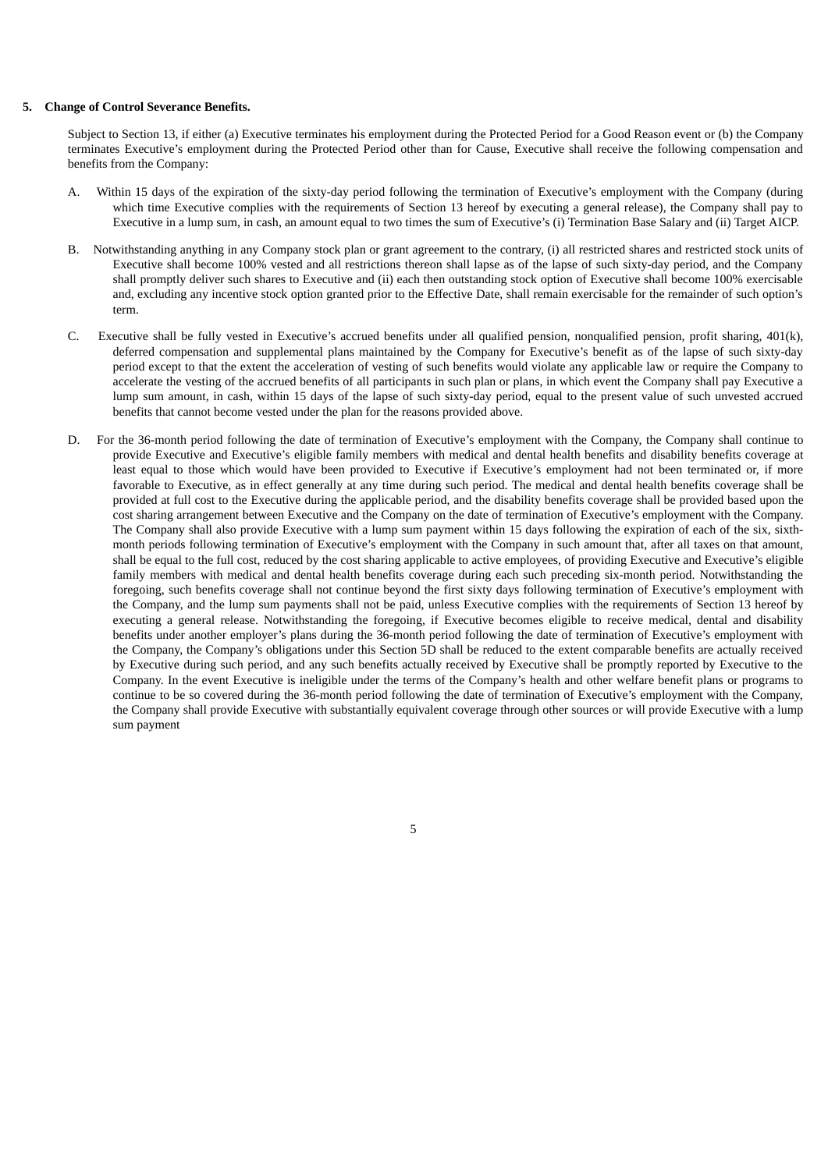#### **5. Change of Control Severance Benefits.**

Subject to Section 13, if either (a) Executive terminates his employment during the Protected Period for a Good Reason event or (b) the Company terminates Executive's employment during the Protected Period other than for Cause, Executive shall receive the following compensation and benefits from the Company:

- A. Within 15 days of the expiration of the sixty-day period following the termination of Executive's employment with the Company (during which time Executive complies with the requirements of Section 13 hereof by executing a general release), the Company shall pay to Executive in a lump sum, in cash, an amount equal to two times the sum of Executive's (i) Termination Base Salary and (ii) Target AICP.
- B. Notwithstanding anything in any Company stock plan or grant agreement to the contrary, (i) all restricted shares and restricted stock units of Executive shall become 100% vested and all restrictions thereon shall lapse as of the lapse of such sixty-day period, and the Company shall promptly deliver such shares to Executive and (ii) each then outstanding stock option of Executive shall become 100% exercisable and, excluding any incentive stock option granted prior to the Effective Date, shall remain exercisable for the remainder of such option's term.
- C. Executive shall be fully vested in Executive's accrued benefits under all qualified pension, nonqualified pension, profit sharing, 401(k), deferred compensation and supplemental plans maintained by the Company for Executive's benefit as of the lapse of such sixty-day period except to that the extent the acceleration of vesting of such benefits would violate any applicable law or require the Company to accelerate the vesting of the accrued benefits of all participants in such plan or plans, in which event the Company shall pay Executive a lump sum amount, in cash, within 15 days of the lapse of such sixty-day period, equal to the present value of such unvested accrued benefits that cannot become vested under the plan for the reasons provided above.
- D. For the 36-month period following the date of termination of Executive's employment with the Company, the Company shall continue to provide Executive and Executive's eligible family members with medical and dental health benefits and disability benefits coverage at least equal to those which would have been provided to Executive if Executive's employment had not been terminated or, if more favorable to Executive, as in effect generally at any time during such period. The medical and dental health benefits coverage shall be provided at full cost to the Executive during the applicable period, and the disability benefits coverage shall be provided based upon the cost sharing arrangement between Executive and the Company on the date of termination of Executive's employment with the Company. The Company shall also provide Executive with a lump sum payment within 15 days following the expiration of each of the six, sixthmonth periods following termination of Executive's employment with the Company in such amount that, after all taxes on that amount, shall be equal to the full cost, reduced by the cost sharing applicable to active employees, of providing Executive and Executive's eligible family members with medical and dental health benefits coverage during each such preceding six-month period. Notwithstanding the foregoing, such benefits coverage shall not continue beyond the first sixty days following termination of Executive's employment with the Company, and the lump sum payments shall not be paid, unless Executive complies with the requirements of Section 13 hereof by executing a general release. Notwithstanding the foregoing, if Executive becomes eligible to receive medical, dental and disability benefits under another employer's plans during the 36-month period following the date of termination of Executive's employment with the Company, the Company's obligations under this Section 5D shall be reduced to the extent comparable benefits are actually received by Executive during such period, and any such benefits actually received by Executive shall be promptly reported by Executive to the Company. In the event Executive is ineligible under the terms of the Company's health and other welfare benefit plans or programs to continue to be so covered during the 36-month period following the date of termination of Executive's employment with the Company, the Company shall provide Executive with substantially equivalent coverage through other sources or will provide Executive with a lump sum payment

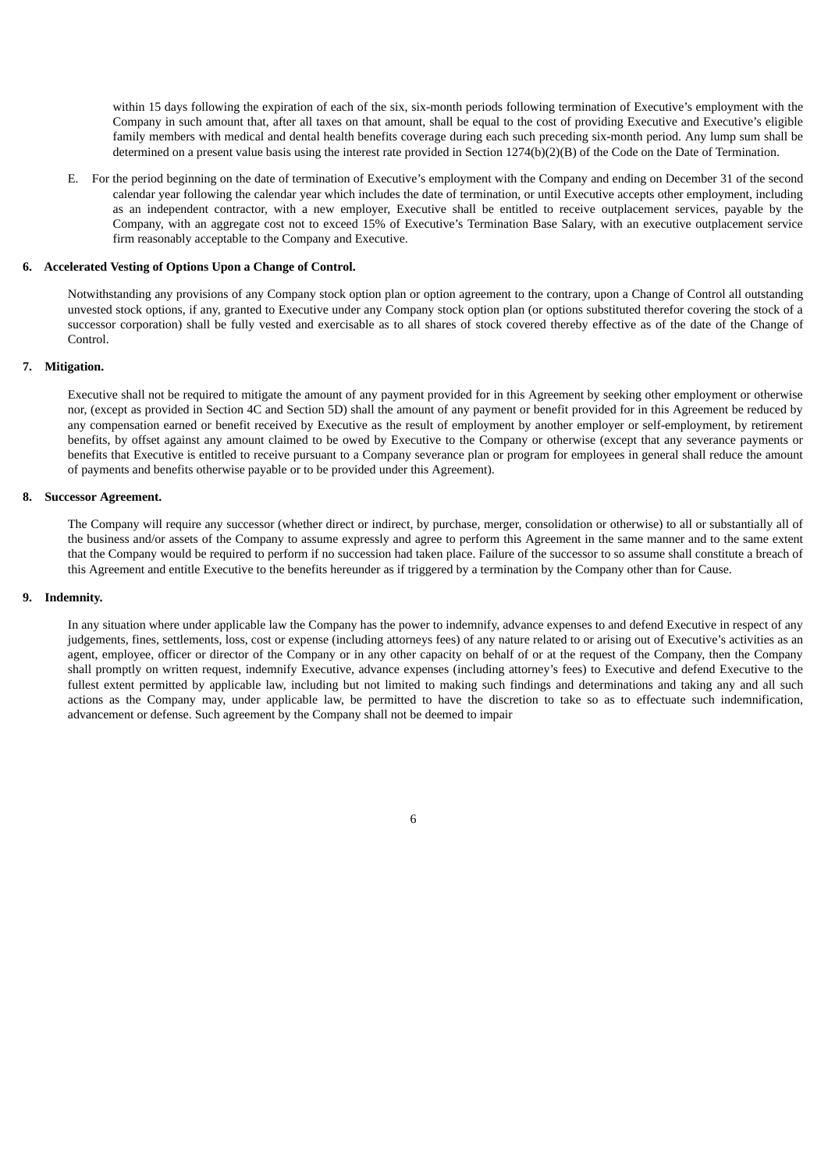within 15 days following the expiration of each of the six, six-month periods following termination of Executive's employment with the Company in such amount that, after all taxes on that amount, shall be equal to the cost of providing Executive and Executive's eligible family members with medical and dental health benefits coverage during each such preceding six-month period. Any lump sum shall be determined on a present value basis using the interest rate provided in Section 1274(b)(2)(B) of the Code on the Date of Termination.

E. For the period beginning on the date of termination of Executive's employment with the Company and ending on December 31 of the second calendar year following the calendar year which includes the date of termination, or until Executive accepts other employment, including as an independent contractor, with a new employer, Executive shall be entitled to receive outplacement services, payable by the Company, with an aggregate cost not to exceed 15% of Executive's Termination Base Salary, with an executive outplacement service firm reasonably acceptable to the Company and Executive.

#### **6. Accelerated Vesting of Options Upon a Change of Control.**

Notwithstanding any provisions of any Company stock option plan or option agreement to the contrary, upon a Change of Control all outstanding unvested stock options, if any, granted to Executive under any Company stock option plan (or options substituted therefor covering the stock of a successor corporation) shall be fully vested and exercisable as to all shares of stock covered thereby effective as of the date of the Change of Control.

#### **7. Mitigation.**

Executive shall not be required to mitigate the amount of any payment provided for in this Agreement by seeking other employment or otherwise nor, (except as provided in Section 4C and Section 5D) shall the amount of any payment or benefit provided for in this Agreement be reduced by any compensation earned or benefit received by Executive as the result of employment by another employer or self-employment, by retirement benefits, by offset against any amount claimed to be owed by Executive to the Company or otherwise (except that any severance payments or benefits that Executive is entitled to receive pursuant to a Company severance plan or program for employees in general shall reduce the amount of payments and benefits otherwise payable or to be provided under this Agreement).

#### **8. Successor Agreement.**

The Company will require any successor (whether direct or indirect, by purchase, merger, consolidation or otherwise) to all or substantially all of the business and/or assets of the Company to assume expressly and agree to perform this Agreement in the same manner and to the same extent that the Company would be required to perform if no succession had taken place. Failure of the successor to so assume shall constitute a breach of this Agreement and entitle Executive to the benefits hereunder as if triggered by a termination by the Company other than for Cause.

#### **9. Indemnity.**

In any situation where under applicable law the Company has the power to indemnify, advance expenses to and defend Executive in respect of any judgements, fines, settlements, loss, cost or expense (including attorneys fees) of any nature related to or arising out of Executive's activities as an agent, employee, officer or director of the Company or in any other capacity on behalf of or at the request of the Company, then the Company shall promptly on written request, indemnify Executive, advance expenses (including attorney's fees) to Executive and defend Executive to the fullest extent permitted by applicable law, including but not limited to making such findings and determinations and taking any and all such actions as the Company may, under applicable law, be permitted to have the discretion to take so as to effectuate such indemnification, advancement or defense. Such agreement by the Company shall not be deemed to impair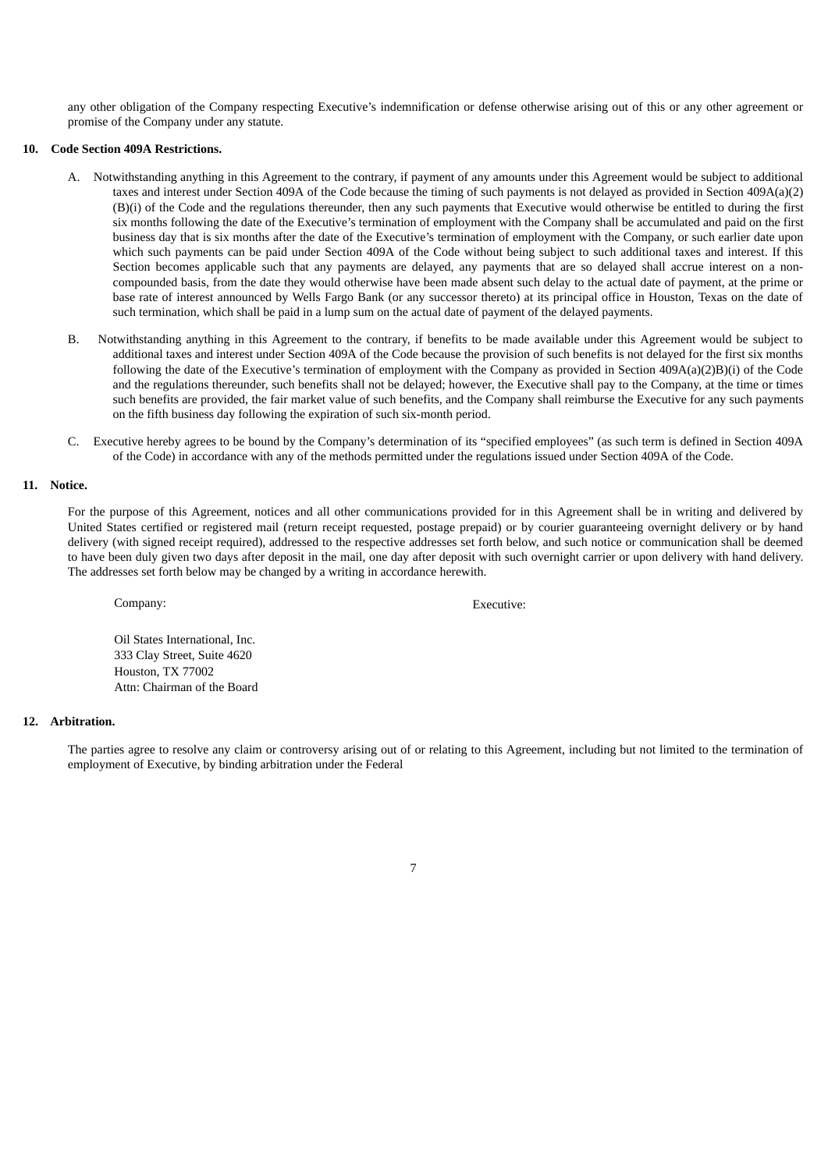any other obligation of the Company respecting Executive's indemnification or defense otherwise arising out of this or any other agreement or promise of the Company under any statute.

## **10. Code Section 409A Restrictions.**

- A. Notwithstanding anything in this Agreement to the contrary, if payment of any amounts under this Agreement would be subject to additional taxes and interest under Section 409A of the Code because the timing of such payments is not delayed as provided in Section 409A(a)(2) (B)(i) of the Code and the regulations thereunder, then any such payments that Executive would otherwise be entitled to during the first six months following the date of the Executive's termination of employment with the Company shall be accumulated and paid on the first business day that is six months after the date of the Executive's termination of employment with the Company, or such earlier date upon which such payments can be paid under Section 409A of the Code without being subject to such additional taxes and interest. If this Section becomes applicable such that any payments are delayed, any payments that are so delayed shall accrue interest on a noncompounded basis, from the date they would otherwise have been made absent such delay to the actual date of payment, at the prime or base rate of interest announced by Wells Fargo Bank (or any successor thereto) at its principal office in Houston, Texas on the date of such termination, which shall be paid in a lump sum on the actual date of payment of the delayed payments.
- B. Notwithstanding anything in this Agreement to the contrary, if benefits to be made available under this Agreement would be subject to additional taxes and interest under Section 409A of the Code because the provision of such benefits is not delayed for the first six months following the date of the Executive's termination of employment with the Company as provided in Section 409A(a)(2)B)(i) of the Code and the regulations thereunder, such benefits shall not be delayed; however, the Executive shall pay to the Company, at the time or times such benefits are provided, the fair market value of such benefits, and the Company shall reimburse the Executive for any such payments on the fifth business day following the expiration of such six-month period.
- C. Executive hereby agrees to be bound by the Company's determination of its "specified employees" (as such term is defined in Section 409A of the Code) in accordance with any of the methods permitted under the regulations issued under Section 409A of the Code.

#### **11. Notice.**

For the purpose of this Agreement, notices and all other communications provided for in this Agreement shall be in writing and delivered by United States certified or registered mail (return receipt requested, postage prepaid) or by courier guaranteeing overnight delivery or by hand delivery (with signed receipt required), addressed to the respective addresses set forth below, and such notice or communication shall be deemed to have been duly given two days after deposit in the mail, one day after deposit with such overnight carrier or upon delivery with hand delivery. The addresses set forth below may be changed by a writing in accordance herewith.

Company: Executive:

Oil States International, Inc. 333 Clay Street, Suite 4620 Houston, TX 77002 Attn: Chairman of the Board

## **12. Arbitration.**

The parties agree to resolve any claim or controversy arising out of or relating to this Agreement, including but not limited to the termination of employment of Executive, by binding arbitration under the Federal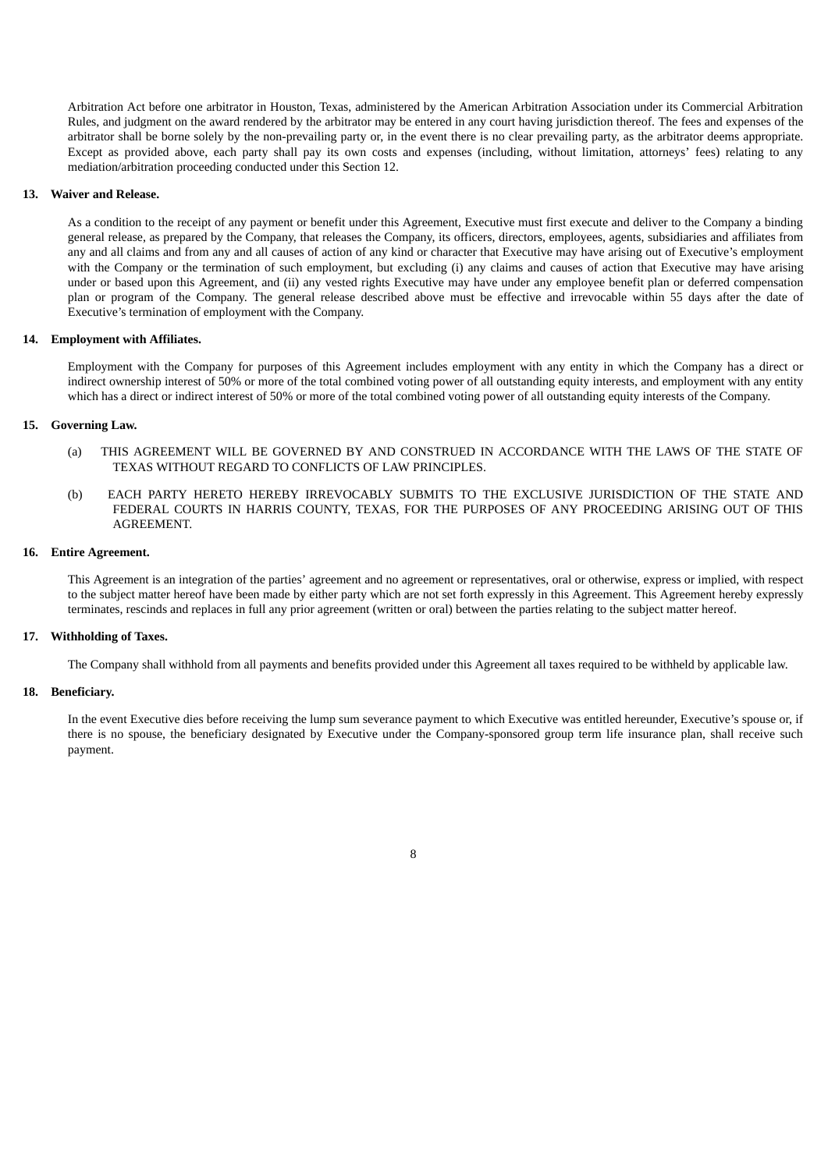Arbitration Act before one arbitrator in Houston, Texas, administered by the American Arbitration Association under its Commercial Arbitration Rules, and judgment on the award rendered by the arbitrator may be entered in any court having jurisdiction thereof. The fees and expenses of the arbitrator shall be borne solely by the non-prevailing party or, in the event there is no clear prevailing party, as the arbitrator deems appropriate. Except as provided above, each party shall pay its own costs and expenses (including, without limitation, attorneys' fees) relating to any mediation/arbitration proceeding conducted under this Section 12.

#### **13. Waiver and Release.**

As a condition to the receipt of any payment or benefit under this Agreement, Executive must first execute and deliver to the Company a binding general release, as prepared by the Company, that releases the Company, its officers, directors, employees, agents, subsidiaries and affiliates from any and all claims and from any and all causes of action of any kind or character that Executive may have arising out of Executive's employment with the Company or the termination of such employment, but excluding (i) any claims and causes of action that Executive may have arising under or based upon this Agreement, and (ii) any vested rights Executive may have under any employee benefit plan or deferred compensation plan or program of the Company. The general release described above must be effective and irrevocable within 55 days after the date of Executive's termination of employment with the Company.

#### **14. Employment with Affiliates.**

Employment with the Company for purposes of this Agreement includes employment with any entity in which the Company has a direct or indirect ownership interest of 50% or more of the total combined voting power of all outstanding equity interests, and employment with any entity which has a direct or indirect interest of 50% or more of the total combined voting power of all outstanding equity interests of the Company.

## **15. Governing Law.**

- (a) THIS AGREEMENT WILL BE GOVERNED BY AND CONSTRUED IN ACCORDANCE WITH THE LAWS OF THE STATE OF TEXAS WITHOUT REGARD TO CONFLICTS OF LAW PRINCIPLES.
- (b) EACH PARTY HERETO HEREBY IRREVOCABLY SUBMITS TO THE EXCLUSIVE JURISDICTION OF THE STATE AND FEDERAL COURTS IN HARRIS COUNTY, TEXAS, FOR THE PURPOSES OF ANY PROCEEDING ARISING OUT OF THIS AGREEMENT.

#### **16. Entire Agreement.**

This Agreement is an integration of the parties' agreement and no agreement or representatives, oral or otherwise, express or implied, with respect to the subject matter hereof have been made by either party which are not set forth expressly in this Agreement. This Agreement hereby expressly terminates, rescinds and replaces in full any prior agreement (written or oral) between the parties relating to the subject matter hereof.

## **17. Withholding of Taxes.**

The Company shall withhold from all payments and benefits provided under this Agreement all taxes required to be withheld by applicable law.

## **18. Beneficiary.**

In the event Executive dies before receiving the lump sum severance payment to which Executive was entitled hereunder, Executive's spouse or, if there is no spouse, the beneficiary designated by Executive under the Company-sponsored group term life insurance plan, shall receive such payment.